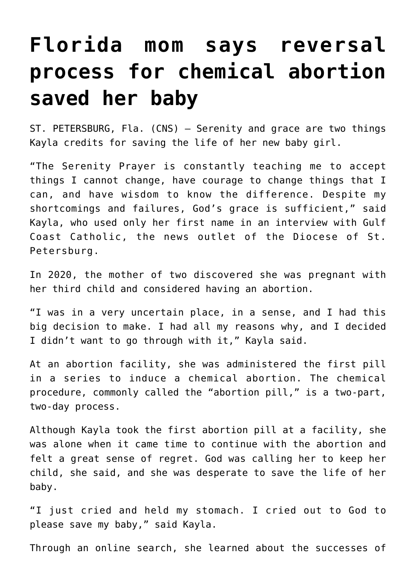## **[Florida mom says reversal](https://www.osvnews.com/amp/2022/01/25/florida-mom-says-reversal-process-for-chemical-abortion-saved-her-baby/) [process for chemical abortion](https://www.osvnews.com/amp/2022/01/25/florida-mom-says-reversal-process-for-chemical-abortion-saved-her-baby/) [saved her baby](https://www.osvnews.com/amp/2022/01/25/florida-mom-says-reversal-process-for-chemical-abortion-saved-her-baby/)**

ST. PETERSBURG, Fla. (CNS) — Serenity and grace are two things Kayla credits for saving the life of her new baby girl.

"The Serenity Prayer is constantly teaching me to accept things I cannot change, have courage to change things that I can, and have wisdom to know the difference. Despite my shortcomings and failures, God's grace is sufficient," said Kayla, who used only her first name in an interview with Gulf Coast Catholic, the news outlet of the Diocese of St. Petersburg.

In 2020, the mother of two discovered she was pregnant with her third child and considered having an abortion.

"I was in a very uncertain place, in a sense, and I had this big decision to make. I had all my reasons why, and I decided I didn't want to go through with it," Kayla said.

At an abortion facility, she was administered the first pill in a series to induce a chemical abortion. The chemical procedure, commonly called the "abortion pill," is a two-part, two-day process.

Although Kayla took the first abortion pill at a facility, she was alone when it came time to continue with the abortion and felt a great sense of regret. God was calling her to keep her child, she said, and she was desperate to save the life of her baby.

"I just cried and held my stomach. I cried out to God to please save my baby," said Kayla.

Through an online search, she learned about the successes of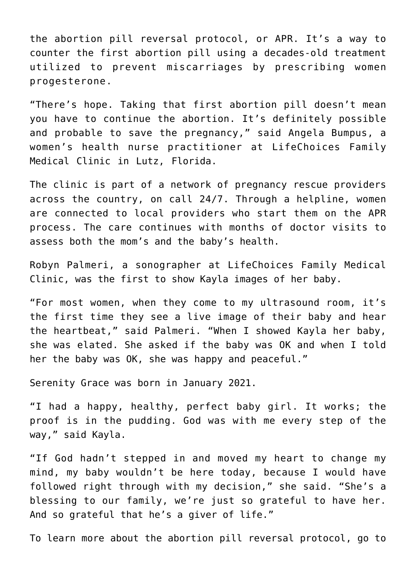the abortion pill reversal protocol, or APR. It's a way to counter the first abortion pill using a decades-old treatment utilized to prevent miscarriages by prescribing women progesterone.

"There's hope. Taking that first abortion pill doesn't mean you have to continue the abortion. It's definitely possible and probable to save the pregnancy," said Angela Bumpus, a women's health nurse practitioner at LifeChoices Family Medical Clinic in Lutz, Florida.

The clinic is part of a network of pregnancy rescue providers across the country, on call 24/7. Through a helpline, women are connected to local providers who start them on the APR process. The care continues with months of doctor visits to assess both the mom's and the baby's health.

Robyn Palmeri, a sonographer at LifeChoices Family Medical Clinic, was the first to show Kayla images of her baby.

"For most women, when they come to my ultrasound room, it's the first time they see a live image of their baby and hear the heartbeat," said Palmeri. "When I showed Kayla her baby, she was elated. She asked if the baby was OK and when I told her the baby was OK, she was happy and peaceful."

Serenity Grace was born in January 2021.

"I had a happy, healthy, perfect baby girl. It works; the proof is in the pudding. God was with me every step of the way," said Kayla.

"If God hadn't stepped in and moved my heart to change my mind, my baby wouldn't be here today, because I would have followed right through with my decision," she said. "She's a blessing to our family, we're just so grateful to have her. And so grateful that he's a giver of life."

To learn more about the abortion pill reversal protocol, go to